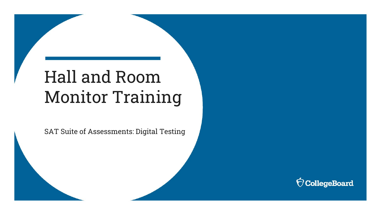# Hall and Room Monitor Training

SAT Suite of Assessments: Digital Testing

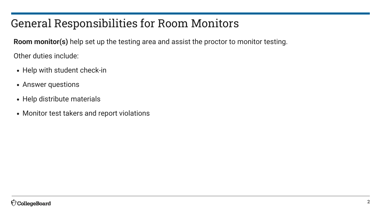## General Responsibilities for Room Monitors

**Room monitor(s)** help set up the testing area and assist the proctor to monitor testing.

Other duties include:

- Help with student check-in
- Answer questions
- Help distribute materials
- Monitor test takers and report violations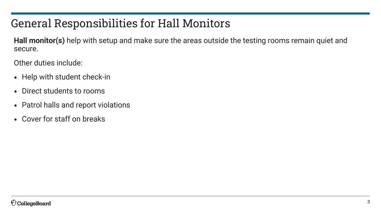# General Responsibilities for Hall Monitors

**Hall monitor(s)** help with setup and make sure the areas outside the testing rooms remain quiet and secure.

Other duties include:

- Help with student check-in
- Direct students to rooms
- Patrol halls and report violations
- Cover for staff on breaks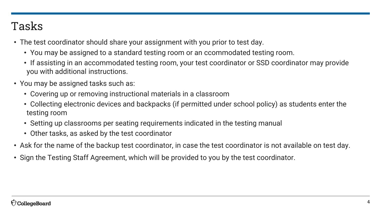#### Tasks

- The test coordinator should share your assignment with you prior to test day.
	- You may be assigned to a standard testing room or an ccommodated testing room.
	- If assisting in an accommodated testing room, your test coordinator or SSD coordinator may provide you with additional instructions.
- You may be assigned tasks such as:
	- Covering up or removing instructional materials in a classroom
	- Collecting electronic devices and backpacks (if permitted under school policy) as students enter the testing room
	- Setting up classrooms per seating requirements indicated in the testing manual
	- Other tasks, as asked by the test coordinator
- Ask for the name of the backup test coordinator, in case the test coordinator is not available on test day.
- Sign the Testing Staff Agreement, which will be provided to you by the test coordinator.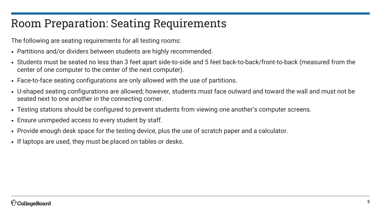#### Room Preparation: Seating Requirements

The following are seating requirements for all testing rooms:

- Partitions and/or dividers between students are highly recommended.
- Students must be seated no less than 3 feet apart side-to-side and 5 feet back-to-back/front-to-back (measured from the center of one computer to the center of the next computer).
- Face-to-face seating configurations are only allowed with the use of partitions.
- U-shaped seating configurations are allowed; however, students must face outward and toward the wall and must not be seated next to one another in the connecting corner.
- Testing stations should be configured to prevent students from viewing one another's computer screens.
- Ensure unimpeded access to every student by staff.
- Provide enough desk space for the testing device, plus the use of scratch paper and a calculator.
- If laptops are used, they must be placed on tables or desks.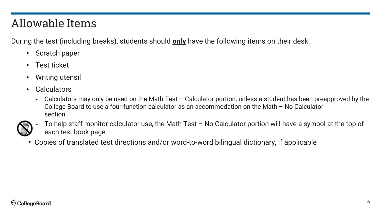## Allowable Items

During the test (including breaks), students should **only** have the following items on their desk:

- Scratch paper
- Test ticket
- Writing utensil
- Calculators
	- Calculators may only be used on the Math Test Calculator portion, unless a student has been preapproved by the College Board to use a four-function calculator as an accommodation on the Math – No Calculator section.



To help staff monitor calculator use, the Math Test  $-$  No Calculator portion will have a symbol at the top of each test book page.

• Copies of translated test directions and/or word-to-word bilingual dictionary, if applicable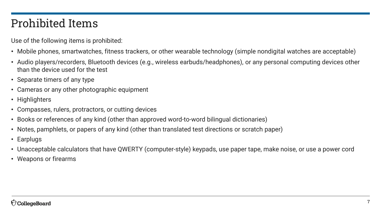#### Prohibited Items

Use of the following items is prohibited:

- Mobile phones, smartwatches, fitness trackers, or other wearable technology (simple nondigital watches are acceptable)
- Audio players/recorders, Bluetooth devices (e.g., wireless earbuds/headphones), or any personal computing devices other than the device used for the test
- Separate timers of any type
- Cameras or any other photographic equipment
- Highlighters
- Compasses, rulers, protractors, or cutting devices
- Books or references of any kind (other than approved word-to-word bilingual dictionaries)
- Notes, pamphlets, or papers of any kind (other than translated test directions or scratch paper)
- Earplugs
- Unacceptable calculators that have QWERTY (computer-style) keypads, use paper tape, make noise, or use a power cord
- Weapons or firearms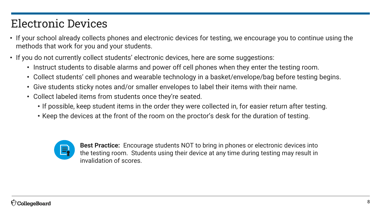## Electronic Devices

- If your school already collects phones and electronic devices for testing, we encourage you to continue using the methods that work for you and your students.
- If you do not currently collect students' electronic devices, here are some suggestions:
	- Instruct students to disable alarms and power off cell phones when they enter the testing room.
	- Collect students' cell phones and wearable technology in a basket/envelope/bag before testing begins.
	- Give students sticky notes and/or smaller envelopes to label their items with their name.
	- Collect labeled items from students once they're seated.
		- If possible, keep student items in the order they were collected in, for easier return after testing.
		- Keep the devices at the front of the room on the proctor's desk for the duration of testing.



**Best Practice:** Encourage students NOT to bring in phones or electronic devices into the testing room. Students using their device at any time during testing may result in invalidation of scores.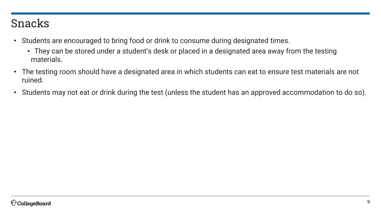#### Snacks

- Students are encouraged to bring food or drink to consume during designated times.
	- They can be stored under a student's desk or placed in a designated area away from the testing materials.
- The testing room should have a designated area in which students can eat to ensure test materials are not ruined.
- Students may not eat or drink during the test (unless the student has an approved accommodation to do so).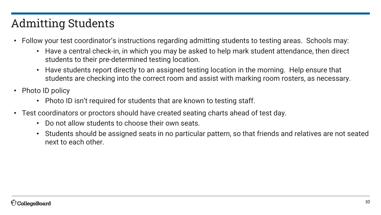# Admitting Students

- Follow your test coordinator's instructions regarding admitting students to testing areas. Schools may:
	- Have a central check-in, in which you may be asked to help mark student attendance, then direct students to their pre-determined testing location.
	- Have students report directly to an assigned testing location in the morning. Help ensure that students are checking into the correct room and assist with marking room rosters, as necessary.
- Photo ID policy
	- Photo ID isn't required for students that are known to testing staff.
- Test coordinators or proctors should have created seating charts ahead of test day.
	- Do not allow students to choose their own seats.
	- Students should be assigned seats in no particular pattern, so that friends and relatives are not seated next to each other.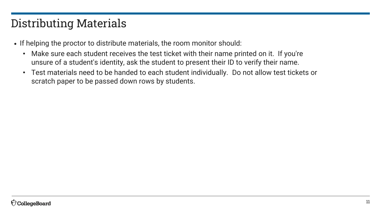# Distributing Materials

- If helping the proctor to distribute materials, the room monitor should:
	- Make sure each student receives the test ticket with their name printed on it. If you're unsure of a student's identity, ask the student to present their ID to verify their name.
	- Test materials need to be handed to each student individually. Do not allow test tickets or scratch paper to be passed down rows by students.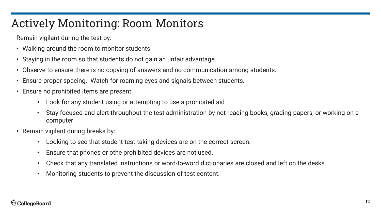## Actively Monitoring: Room Monitors

Remain vigilant during the test by:

- Walking around the room to monitor students.
- Staying in the room so that students do not gain an unfair advantage.
- Observe to ensure there is no copying of answers and no communication among students.
- Ensure proper spacing. Watch for roaming eyes and signals between students.
- Ensure no prohibited items are present.
	- Look for any student using or attempting to use a prohibited aid
	- Stay focused and alert throughout the test administration by not reading books, grading papers, or working on a computer.
- Remain vigilant during breaks by:
	- Looking to see that student test-taking devices are on the correct screen.
	- Ensure that phones or othe prohibited devices are not used.
	- Check that any translated instructions or word-to-word dictionaries are closed and left on the desks.
	- Monitoring students to prevent the discussion of test content.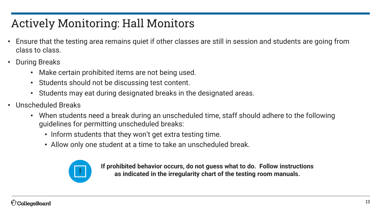# Actively Monitoring: Hall Monitors

- Ensure that the testing area remains quiet if other classes are still in session and students are going from class to class.
- During Breaks
	- Make certain prohibited items are not being used.
	- Students should not be discussing test content.
	- Students may eat during designated breaks in the designated areas.
- Unscheduled Breaks
	- When students need a break during an unscheduled time, staff should adhere to the following guidelines for permitting unscheduled breaks:
		- Inform students that they won't get extra testing time.
		- Allow only one student at a time to take an unscheduled break.



**If prohibited behavior occurs, do not guess what to do. Follow instructions as indicated in the irregularity chart of the testing room manuals.**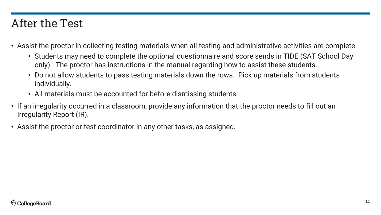#### After the Test

- Assist the proctor in collecting testing materials when all testing and administrative activities are complete.
	- Students may need to complete the optional questionnaire and score sends in TIDE (SAT School Day only). The proctor has instructions in the manual regarding how to assist these students.
	- Do not allow students to pass testing materials down the rows. Pick up materials from students individually.
	- All materials must be accounted for before dismissing students.
- If an irregularity occurred in a classroom, provide any information that the proctor needs to fill out an Irregularity Report (IR).
- Assist the proctor or test coordinator in any other tasks, as assigned.